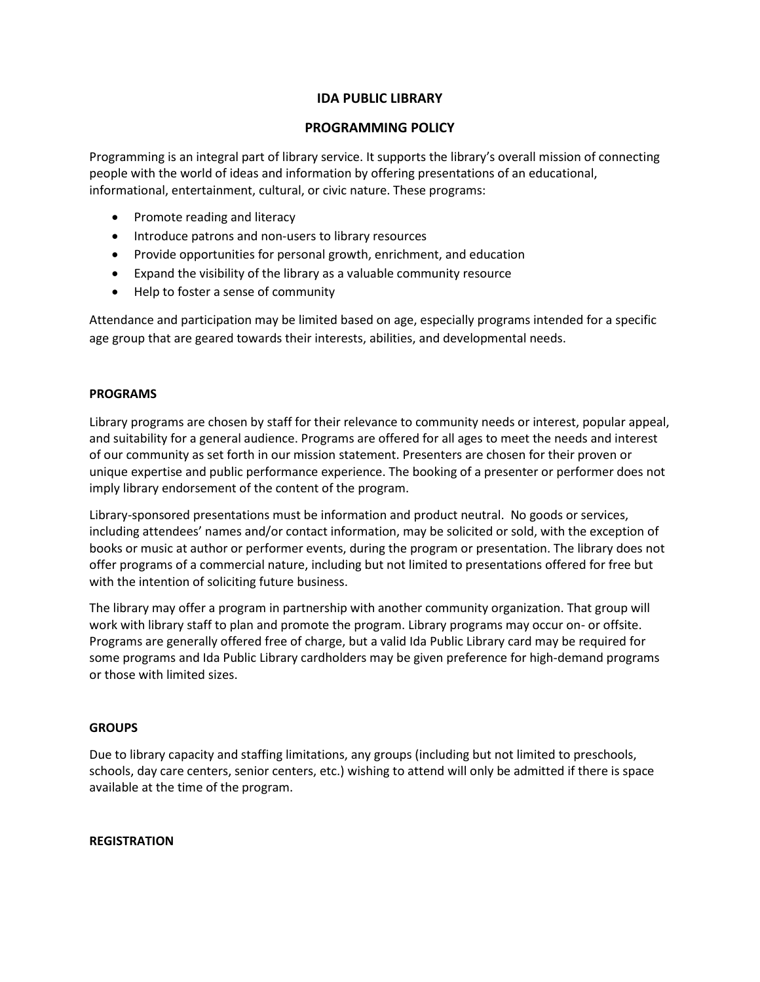# **IDA PUBLIC LIBRARY**

## **PROGRAMMING POLICY**

Programming is an integral part of library service. It supports the library's overall mission of connecting people with the world of ideas and information by offering presentations of an educational, informational, entertainment, cultural, or civic nature. These programs:

- Promote reading and literacy
- Introduce patrons and non-users to library resources
- Provide opportunities for personal growth, enrichment, and education
- Expand the visibility of the library as a valuable community resource
- Help to foster a sense of community

Attendance and participation may be limited based on age, especially programs intended for a specific age group that are geared towards their interests, abilities, and developmental needs.

### **PROGRAMS**

Library programs are chosen by staff for their relevance to community needs or interest, popular appeal, and suitability for a general audience. Programs are offered for all ages to meet the needs and interest of our community as set forth in our mission statement. Presenters are chosen for their proven or unique expertise and public performance experience. The booking of a presenter or performer does not imply library endorsement of the content of the program.

Library-sponsored presentations must be information and product neutral. No goods or services, including attendees' names and/or contact information, may be solicited or sold, with the exception of books or music at author or performer events, during the program or presentation. The library does not offer programs of a commercial nature, including but not limited to presentations offered for free but with the intention of soliciting future business.

The library may offer a program in partnership with another community organization. That group will work with library staff to plan and promote the program. Library programs may occur on- or offsite. Programs are generally offered free of charge, but a valid Ida Public Library card may be required for some programs and Ida Public Library cardholders may be given preference for high-demand programs or those with limited sizes.

#### **GROUPS**

Due to library capacity and staffing limitations, any groups (including but not limited to preschools, schools, day care centers, senior centers, etc.) wishing to attend will only be admitted if there is space available at the time of the program.

#### **REGISTRATION**